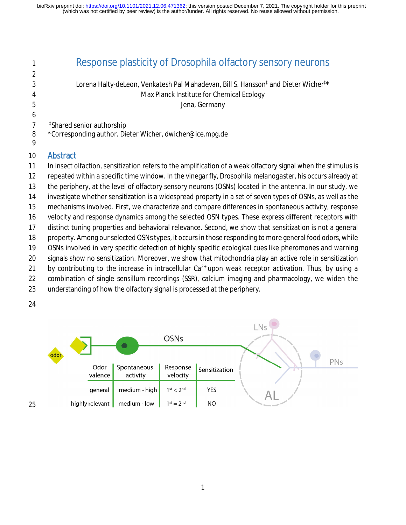| 1      | Response plasticity of <i>Drosophila</i> olfactory sensory neurons                                             |
|--------|----------------------------------------------------------------------------------------------------------------|
| 2      |                                                                                                                |
| 3      | Lorena Halty-deLeon, Venkatesh Pal Mahadevan, Bill S. Hansson <sup>‡</sup> and Dieter Wicher <sup>‡*</sup>     |
| 4      | Max Planck Institute for Chemical Ecology                                                                      |
| 5      | Jena, Germany                                                                                                  |
| 6      |                                                                                                                |
| 7      | <sup>‡</sup> Shared senior authorship                                                                          |
| 8<br>9 | *Corresponding author. Dieter Wicher, dwicher@ice.mpg.de                                                       |
| 10     | <b>Abstract</b>                                                                                                |
| 11     | In insect olfaction, sensitization refers to the amplification of a weak olfactory signal when the stimulus is |
| 12     | repeated within a specific time window. In the vinegar fly, Drosophila melanogaster, his occurs already at     |
| 13     | the periphery, at the level of olfactory sensory neurons (OSNs) located in the antenna. In our study, we       |
| 14     | investigate whether sensitization is a widespread property in a set of seven types of OSNs, as well as the     |
| 15     | mechanisms involved. First, we characterize and compare differences in spontaneous activity, response          |
| 16     | velocity and response dynamics among the selected OSN types. These express different receptors with            |
| 17     | distinct tuning properties and behavioral relevance. Second, we show that sensitization is not a general       |
| 18     | property. Among our selected OSNs types, it occurs in those responding to more general food odors, while       |
| 19     | OSNs involved in very specific detection of highly specific ecological cues like pheromones and warning        |
| 20     | signals show no sensitization. Moreover, we show that mitochondria play an active role in sensitization        |
| 21     | by contributing to the increase in intracellular $Ca^{2+}$ upon weak receptor activation. Thus, by using a     |
| 22     | combination of single sensillum recordings (SSR), calcium imaging and pharmacology, we widen the               |
| 23     | understanding of how the olfactory signal is processed at the periphery.                                       |
| 24     |                                                                                                                |

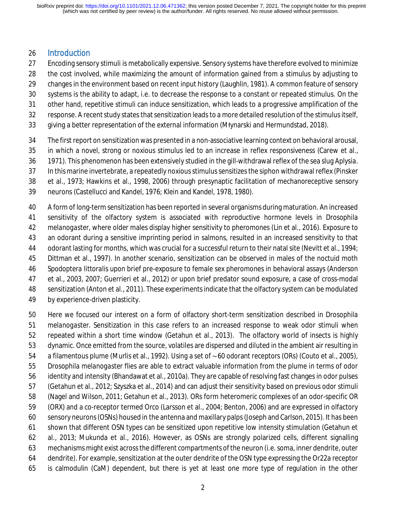#### Introduction

- Encoding sensory stimuli is metabolically expensive. Sensory systems have therefore evolved to minimize
- the cost involved, while maximizing the amount of information gained from a stimulus by adjusting to
- changes in the environment based on recent input history (Laughlin, 1981). A common feature of sensory
- systems is the ability to adapt, i.e. to decrease the response to a constant or repeated stimulus. On the
- other hand, repetitive stimuli can induce sensitization, which leads to a progressive amplification of the
- response. A recent study states that sensitization leads to a more detailed resolution of the stimulus itself,
- giving a better representation of the external information (Młynarski and Hermundstad, 2018).
- The first report on sensitization was presented in a non-associative learning context on behavioral arousal,
- in which a novel, strong or noxious stimulus led to an increase in reflex responsiveness (Carew et al.,
- 1971). This phenomenon has been extensively studied in the gill-withdrawal reflex of the sea slug *Aplysia.*
- In this marine invertebrate, a repeatedly noxious stimulus sensitizes the siphon withdrawal reflex (Pinsker
- et al., 1973; Hawkins et al., 1998, 2006) through presynaptic facilitation of mechanoreceptive sensory
- neurons (Castellucci and Kandel, 1976; Klein and Kandel, 1978, 1980).

 A form of long-term sensitization has been reported in several organisms during maturation. An increased sensitivity of the olfactory system is associated with reproductive hormone levels in *Drosophila melanogaster*, where older males display higher sensitivity to pheromones (Lin et al., 2016). Exposure to an odorant during a sensitive imprinting period in salmons, resulted in an increased sensitivity to that odorant lasting for months, which was crucial for a successful return to their natal site (Nevitt et al., 1994; Dittman et al., 1997). In another scenario, sensitization can be observed in males of the noctuid moth *Spodoptera littoralis* upon brief pre-exposure to female sex pheromones in behavioral assays (Anderson et al., 2003, 2007; Guerrieri et al., 2012) or upon brief predator sound exposure, a case of cross-modal sensitization (Anton et al., 2011). These experiments indicate that the olfactory system can be modulated

by experience-driven plasticity.

 Here we focused our interest on a form of olfactory short-term sensitization described in *Drosophila melanogaster*. Sensitization in this case refers to an increased response to weak odor stimuli when repeated within a short time window (Getahun et al., 2013). The olfactory world of insects is highly dynamic. Once emitted from the source, volatiles are dispersed and diluted in the ambient air resulting in a filamentous plume (Murlis et al., 1992). Using a set of ∼60 odorant receptors (ORs) (Couto et al., 2005), *Drosophila melanogaster* flies are able to extract valuable information from the plume in terms of odor identity and intensity (Bhandawat et al., 2010a). They are capable of resolving fast changes in odor pulses (Getahun et al., 2012; Szyszka et al., 2014) and can adjust their sensitivity based on previous odor stimuli (Nagel and Wilson, 2011; Getahun et al., 2013). ORs form heteromeric complexes of an odor-specific OR (ORX) and a co-receptor termed Orco (Larsson et al., 2004; Benton, 2006) and are expressed in olfactory sensory neurons (OSNs) housed in the antenna and maxillary palps (Joseph and Carlson, 2015). It has been shown that different OSN types can be sensitized upon repetitive low intensity stimulation (Getahun et al., 2013; Mukunda et al., 2016). However, as OSNs are strongly polarized cells, different signalling mechanisms might exist across the different compartments of the neuron (i.e. soma, inner dendrite, outer dendrite). For example, sensitization at the outer dendrite of the OSN type expressing the Or22a receptor is calmodulin (CaM) dependent, but there is yet at least one more type of regulation in the other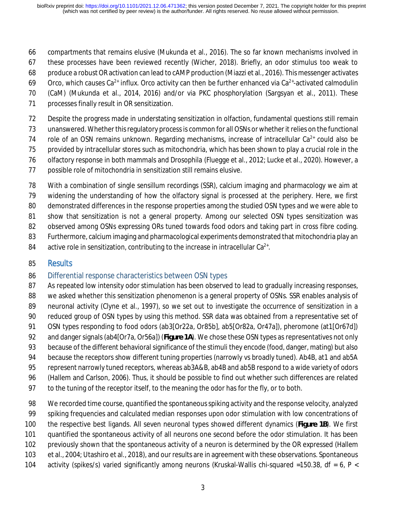- compartments that remains elusive (Mukunda et al., 2016). The so far known mechanisms involved in
- these processes have been reviewed recently (Wicher, 2018). Briefly, an odor stimulus too weak to
- produce a robust OR activation can lead to cAMP production (Miazzi et al., 2016). This messenger activates
- 69 Orco, which causes Ca<sup>2+</sup> influx. Orco activity can then be further enhanced via Ca<sup>2+</sup>-activated calmodulin
- (CaM) (Mukunda et al., 2014, 2016) and/or via PKC phosphorylation (Sargsyan et al., 2011). These
- processes finally result in OR sensitization.

Despite the progress made in understating sensitization in olfaction, fundamental questions still remain

unanswered. Whether this regulatory process is common for all OSNs or whether it relies on the functional

74 role of an OSN remains unknown. Regarding mechanisms, increase of intracellular  $Ca^{2+}$  could also be

- provided by intracellular stores such as mitochondria, which has been shown to play a crucial role in the
- olfactory response in both mammals and *Drosophila* (Fluegge et al., 2012; Lucke et al., 2020). However, a
- possible role of mitochondria in sensitization still remains elusive.
- With a combination of single sensillum recordings (SSR), calcium imaging and pharmacology we aim at
- widening the understanding of how the olfactory signal is processed at the periphery. Here, we first
- demonstrated differences in the response properties among the studied OSN types and we were able to
- show that sensitization is not a general property. Among our selected OSN types sensitization was
- observed among OSNs expressing ORs tuned towards food odors and taking part in cross fibre coding.
- Furthermore, calcium imaging and pharmacological experiments demonstrated that mitochondria play an
- 84 active role in sensitization, contributing to the increase in intracellular  $Ca^{2+}$ .

## Results

## Differential response characteristics between OSN types

- 87 As repeated low intensity odor stimulation has been observed to lead to gradually increasing responses, we asked whether this sensitization phenomenon is a general property of OSNs. SSR enables analysis of
- 89 neuronal activity (Clyne et al., 1997), so we set out to investigate the occurrence of sensitization in a
- reduced group of OSN types by using this method. SSR data was obtained from a representative set of
- OSN types responding to food odors (ab3[Or22a, Or85b], ab5[Or82a, Or47a]), pheromone (at1[Or67d])
- and danger signals (ab4[Or7a, Or56a]) (**Figure 1A**). We chose these OSN types as representatives not only
- because of the different behavioral significance of the stimuli they encode (food, danger, mating) but also
- 94 because the receptors show different tuning properties (narrowly vs broadly tuned). Ab4B, at1 and ab5A
- represent narrowly tuned receptors, whereas ab3A&B, ab4B and ab5B respond to a wide variety of odors
- (Hallem and Carlson, 2006). Thus, it should be possible to find out whether such differences are related
- to the tuning of the receptor itself, to the meaning the odor has for the fly, or to both.
- We recorded time course, quantified the spontaneous spiking activity and the response velocity, analyzed spiking frequencies and calculated median responses upon odor stimulation with low concentrations of the respective best ligands. All seven neuronal types showed different dynamics (**Figure 1B**). We first quantified the spontaneous activity of all neurons one second before the odor stimulation. It has been previously shown that the spontaneous activity of a neuron is determined by the OR expressed (Hallem et al., 2004; Utashiro et al., 2018), and our results are in agreement with these observations. Spontaneous 104 activity (spikes/s) varied significantly among neurons (Kruskal-Wallis chi-squared =150.38, df = 6, P <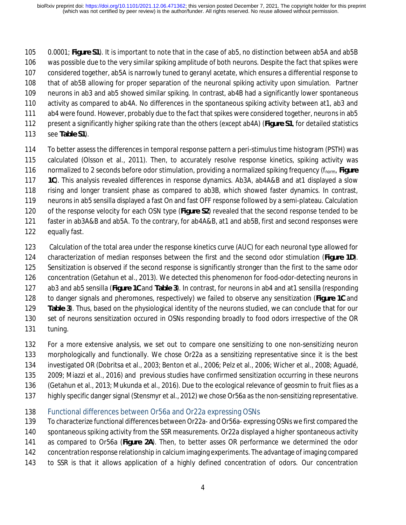0.0001; **Figure S1**). It is important to note that in the case of ab5, no distinction between ab5A and ab5B was possible due to the very similar spiking amplitude of both neurons. Despite the fact that spikes were considered together, ab5A is narrowly tuned to geranyl acetate, which ensures a differential response to that of ab5B allowing for proper separation of the neuronal spiking activity upon simulation. Partner neurons in ab3 and ab5 showed similar spiking. In contrast, ab4B had a significantly lower spontaneous activity as compared to ab4A. No differences in the spontaneous spiking activity between at1, ab3 and ab4 were found. However, probably due to the fact that spikes were considered together, neurons in ab5 present a significantly higher spiking rate than the others (except ab4A) (**Figure S1**, for detailed statistics see **Table S1**).

- To better assess the differences in temporal response pattern a peri-stimulus time histogram (PSTH) was calculated (Olsson et al., 2011). Then, to accurately resolve response kinetics, spiking activity was normalized to 2 seconds before odor stimulation, providing a normalized spiking frequency (fnorm, **Figure 1C**). This analysis revealed differences in response dynamics. Ab3A, ab4A&B and at1 displayed a slow rising and longer transient phase as compared to ab3B, which showed faster dynamics. In contrast, neurons in ab5 sensilla displayed a fast On and fast OFF response followed by a semi-plateau. Calculation of the response velocity for each OSN type (**Figure S2**) revealed that the second response tended to be faster in ab3A&B and ab5A. To the contrary, for ab4A&B, at1 and ab5B, first and second responses were equally fast.
- 123 Calculation of the total area under the response kinetics curve (AUC) for each neuronal type allowed for characterization of median responses between the first and the second odor stimulation (**Figure 1D**). Sensitization is observed if the second response is significantly stronger than the first to the same odor concentration (Getahun et al., 2013). We detected this phenomenon for food-odor-detecting neurons in ab3 and ab5 sensilla (**Figure 1C** and **Table 3**). In contrast, for neurons in ab4 and at1 sensilla (responding to danger signals and pheromones, respectively) we failed to observe any sensitization (**Figure 1C** and **Table 3**). Thus, based on the physiological identity of the neurons studied, we can conclude that for our set of neurons sensitization occured in OSNs responding broadly to food odors irrespective of the OR tuning.
- For a more extensive analysis, we set out to compare one sensitizing to one non-sensitizing neuron morphologically and functionally. We chose Or22a as a sensitizing representative since it is the best investigated OR (Dobritsa et al., 2003; Benton et al., 2006; Pelz et al., 2006; Wicher et al., 2008; Aguadé, 2009; Miazzi et al., 2016) and previous studies have confirmed sensitization occurring in these neurons (Getahun et al., 2013; Mukunda et al., 2016). Due to the ecological relevance of geosmin to fruit flies as a highly specific danger signal (Stensmyr et al., 2012) we chose Or56a as the non-sensitizing representative.
- Functional differences between Or56a and Or22a expressing OSNs
- To characterize functional differences between Or22a- and Or56a- expressing OSNs we first compared the
- spontaneous spiking activity from the SSR measurements. Or22a displayed a higher spontaneous activity
- as compared to Or56a (**Figure 2A**). Then, to better asses OR performance we determined the odor
- concentration response relationship in calcium imaging experiments. The advantage of imaging compared
- to SSR is that it allows application of a highly defined concentration of odors. Our concentration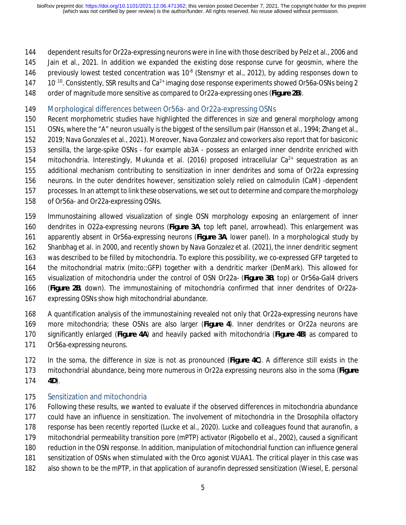#### dependent results for Or22a-expressing neurons were in line with those described by Pelz et al., 2006 and

- Jain et al., 2021. In addition we expanded the existing dose response curve for geosmin, where the
- 146 previously lowest tested concentration was  $10^{-8}$  (Stensmyr et al., 2012), by adding responses down to
- 147  $10^{-10}$ . Consistently, SSR results and Ca<sup>2+</sup> imaging dose response experiments showed Or56a-OSNs being 2
- order of magnitude more sensitive as compared to Or22a-expressing ones (**Figure 2B**).
- Morphological differences between Or56a- and Or22a-expressing OSNs
- Recent morphometric studies have highlighted the differences in size and general morphology among OSNs, where the "A" neuron usually is the biggest of the sensillum pair (Hansson et al., 1994; Zhang et al.,
- 2019; Nava Gonzales et al., 2021). Moreover, Nava Gonzalez and coworkers also report that for basiconic sensilla, the large-spike OSNs - for example ab3A - possess an enlarged inner dendrite enriched with
- 154 mitochondria. Interestingly, Mukunda et al. (2016) proposed intracellular  $Ca^{2+}$  sequestration as an
- additional mechanism contributing to sensitization in inner dendrites and soma of Or22a expressing
- neurons. In the outer dendrites however, sensitization solely relied on calmodulin (CaM) -dependent
- processes. In an attempt to link these observations, we set out to determine and compare the morphology
- of Or56a- and Or22a-expressing OSNs.
- Immunostaining allowed visualization of single OSN morphology exposing an enlargement of inner
- dendrites in O22a-expressing neurons (**Figure 3A**, top left panel, arrowhead). This enlargement was apparently absent in Or56a-expressing neurons (**Figure 3A**, lower panel). In a morphological study by
- Shanbhag et al. in 2000, and recently shown by Nava Gonzalez et al. (2021), the inner dendritic segment
- was described to be filled by mitochondria. To explore this possibility, we co-expressed GFP targeted to
- the mitochondrial matrix (mito::GFP) together with a dendritic marker (DenMark). This allowed for
- visualization of mitochondria under the control of OSN Or22a- (**Figure 3B**, top) or Or56a-Gal4 drivers
- (**Figure 2B**, down). The immunostaining of mitochondria confirmed that inner dendrites of Or22a-
- expressing OSNs show high mitochondrial abundance.
- A quantification analysis of the immunostaining revealed not only that Or22a-expressing neurons have more mitochondria; these OSNs are also larger (**Figure 4**). Inner dendrites or Or22a neurons are significantly enlarged (**Figure 4A**) and heavily packed with mitochondria (**Figure 4B**) as compared to Or56a-expressing neurons.
- In the soma, the difference in size is not as pronounced (**Figure 4C**). A difference still exists in the mitochondrial abundance, being more numerous in Or22a expressing neurons also in the soma (**Figure 4D**).

# Sensitization and mitochondria

 Following these results, we wanted to evaluate if the observed differences in mitochondria abundance could have an influence in sensitization. The involvement of mitochondria in the *Drosophila* olfactory response has been recently reported (Lucke et al., 2020). Lucke and colleagues found that auranofin, a mitochondrial permeability transition pore (mPTP) activator (Rigobello et al., 2002), caused a significant reduction in the OSN response. In addition, manipulation of mitochondrial function can influence general sensitization of OSNs when stimulated with the Orco agonist VUAA1. The critical player in this case was also shown to be the mPTP, in that application of auranofin depressed sensitization *(*Wiesel, E. personal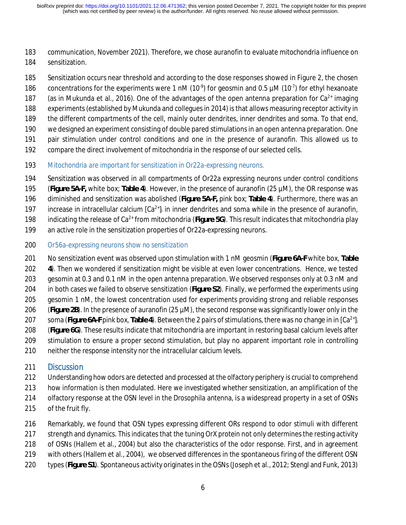communication, November 2021). Therefore, we chose auranofin to evaluate mitochondria influence on sensitization.

- Sensitization occurs near threshold and according to the dose responses showed in Figure 2, the chosen
- 186 concentrations for the experiments were 1 nM (10 $\degree$ ) for geosmin and 0.5  $\mu$ M (10 $\degree$ ) for ethyl hexanoate
- 187 (as in Mukunda et al., 2016). One of the advantages of the open antenna preparation for  $Ca^{2+}$  imaging
- experiments (established by Mukunda and collegues in 2014) is that allows measuring receptor activity in
- the different compartments of the cell, mainly outer dendrites, inner dendrites and soma. To that end,
- we designed an experiment consisting of double pared stimulations in an open antenna preparation. One
- pair stimulation under control conditions and one in the presence of auranofin. This allowed us to
- compare the direct involvement of mitochondria in the response of our selected cells.
- *Mitochondria are important for sensitization in Or22a-expressing neurons.*
- Sensitization was observed in all compartments of Or22a expressing neurons under control conditions
- (**Figure 5A-F,** white box; **Table 4**). However, in the presence of auranofin (25 µM), the OR response was
- diminished and sensitization was abolished (**Figure 5A-F,** pink box; **Table 4**). Furthermore, there was an
- 197 increase in intracellular calcium  $[Ca^{2+}]_i$  in inner dendrites and soma while in the presence of auranofin,
- 198 indicating the release of Ca<sup>2+</sup> from mitochondria (Figure 5G). This result indicates that mitochondria play
- an active role in the sensitization properties of Or22a-expressing neurons.
- *Or56a-expressing neurons show no sensitization*
- No sensitization event was observed upon stimulation with 1 nM geosmin (**Figure 6A-F** white box, **Table**
- **4**). Then we wondered if sensitization might be visible at even lower concentrations. Hence, we tested gesomin at 0.3 and 0.1 nM in the open antenna preparation. We observed responses only at 0.3 nM and in both cases we failed to observe sensitization (**Figure S2**). Finally, we performed the experiments using
- gesomin 1 nM, the lowest concentration used for experiments providing strong and reliable responses
- (**Figure 2B**). In the presence of auranofin (25 µM), the second response was significantly lower only in the
- soma (Figure 6A-F pink box, Table 4). Between the 2 pairs of stimulations, there was no change in in  $Ca^{2+}$ <sub>i</sub>
- (**Figure 6G**). These results indicate that mitochondria are important in restoring basal calcium levels after
- stimulation to ensure a proper second stimulation, but play no apparent important role in controlling
- neither the response intensity nor the intracellular calcium levels.

# Discussion

- Understanding how odors are detected and processed at the olfactory periphery is crucial to comprehend
- how information is then modulated. Here we investigated whether sensitization, an amplification of the
- olfactory response at the OSN level in the *Drosophila* antenna, is a widespread property in a set of OSNs
- of the fruit fly.
- Remarkably, we found that OSN types expressing different ORs respond to odor stimuli with different
- 217 strength and dynamics. This indicates that the tuning OrX protein not only determines the resting activity
- of OSNs (Hallem et al., 2004) but also the characteristics of the odor response. First, and in agreement
- with others (Hallem et al., 2004), we observed differences in the spontaneous firing of the different OSN
- types (**Figure S1**). Spontaneous activity originates in the OSNs (Joseph et al., 2012; Stengl and Funk, 2013)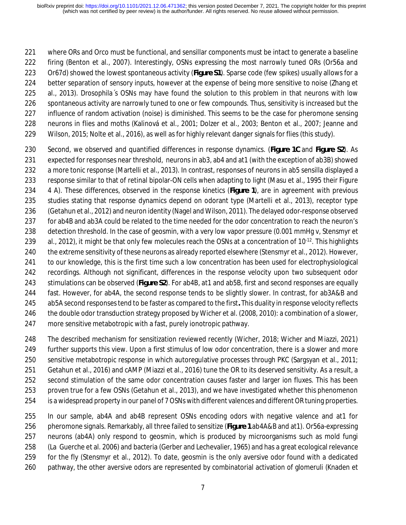where ORs and Orco must be functional, and sensillar components must be intact to generate a baseline firing (Benton et al., 2007). Interestingly, OSNs expressing the most narrowly tuned ORs (Or56a and Or67d) showed the lowest spontaneous activity (**Figure S1**). Sparse code (few spikes) usually allows for a better separation of sensory inputs, however at the expense of being more sensitive to noise (Zhang et al., 2013). *Drosophila*´s OSNs may have found the solution to this problem in that neurons with low spontaneous activity are narrowly tuned to one or few compounds. Thus, sensitivity is increased but the influence of random activation (noise) is diminished. This seems to be the case for pheromone sensing neurons in flies and moths (Kalinová et al., 2001; Dolzer et al., 2003; Benton et al., 2007; Jeanne and Wilson, 2015; Nolte et al., 2016), as well as for highly relevant danger signals for flies (this study).

- Second, we observed and quantified differences in response dynamics. (**Figure 1C** and **Figure S2**). As expected for responses near threshold, neurons in ab3, ab4 and at1 (with the exception of ab3B) showed a more tonic response (Martelli et al., 2013). In contrast, responses of neurons in ab5 sensilla displayed a response similar to that of retinal bipolar-ON cells when adapting to light (Masu et al., 1995 their Figure 4 A). These differences, observed in the response kinetics (**Figure 1**), are in agreement with previous studies stating that response dynamics depend on odorant type (Martelli et al., 2013), receptor type (Getahun et al., 2012) and neuron identity (Nagel and Wilson, 2011). The delayed odor-response observed for ab4B and ab3A could be related to the time needed for the odor concentration to reach the neuron's detection threshold. In the case of geosmin, with a very low vapor pressure (0.001 mmHg v, Stensmyr et 239 al., 2012), it might be that only few molecules reach the OSNs at a concentration of  $10^{-12}$ . This highlights the extreme sensitivity of these neurons as already reported elsewhere (Stensmyr et al., 2012). However, to our knowledge, this is the first time such a low concentration has been used for electrophysiological recordings. Although not significant, differences in the response velocity upon two subsequent odor stimulations can be observed (**Figure S2**). For ab4B, at1 and ab5B, first and second responses are equally fast. However, for ab4A, the second response tends to be slightly slower. In contrast, for ab3A&B and ab5A second responses tend to be faster as compared to the first**.** This duality in response velocity reflects the double odor transduction strategy proposed by Wicher et al. (2008, 2010): a combination of a slower, more sensitive metabotropic with a fast, purely ionotropic pathway.
- The described mechanism for sensitization reviewed recently (Wicher, 2018; Wicher and Miazzi, 2021) further supports this view. Upon a first stimulus of low odor concentration, there is a slower and more sensitive metabotropic response in which autoregulative processes through PKC (Sargsyan et al., 2011; Getahun et al., 2016) and cAMP (Miazzi et al., 2016) tune the OR to its deserved sensitivity. As a result, a second stimulation of the same odor concentration causes faster and larger ion fluxes. This has been proven true for a few OSNs (Getahun et al., 2013), and we have investigated whether this phenomenon is a widespread property in our panel of 7 OSNs with different valences and different OR tuning properties.
- In our sample, ab4A and ab4B represent OSNs encoding odors with negative valence and at1 for pheromone signals. Remarkably, all three failed to sensitize (**Figure 1** ab4A&B and at1). Or56a-expressing neurons (ab4A) only respond to geosmin, which is produced by microorganisms such as mold fungi (La Guerche et al. 2006) and bacteria (Gerber and Lechevalier, 1965) and has a great ecological relevance for the fly (Stensmyr et al., 2012). To date, geosmin is the only aversive odor found with a dedicated pathway, the other aversive odors are represented by combinatorial activation of glomeruli (Knaden et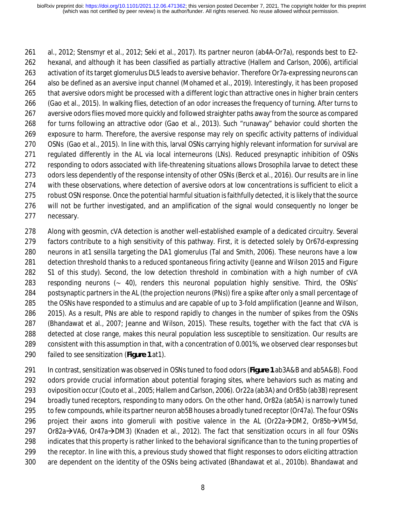al., 2012; Stensmyr et al., 2012; Seki et al., 2017). Its partner neuron (ab4A-Or7a), responds best to E2- hexanal, and although it has been classified as partially attractive (Hallem and Carlson, 2006), artificial activation of its target glomerulus DL5 leads to aversive behavior. Therefore Or7a-expressing neurons can also be defined as an aversive input channel (Mohamed et al., 2019). Interestingly, it has been proposed that aversive odors might be processed with a different logic than attractive ones in higher brain centers (Gao et al., 2015). In walking flies, detection of an odor increases the frequency of turning. After turns to aversive odors flies moved more quickly and followed straighter paths away from the source as compared for turns following an attractive odor (Gao et al., 2013). Such "runaway" behavior could shorten the exposure to harm. Therefore, the aversive response may rely on specific activity patterns of individual OSNs (Gao et al., 2015). In line with this, larval OSNs carrying highly relevant information for survival are regulated differently in the AL via local interneurons (LNs). Reduced presynaptic inhibition of OSNs responding to odors associated with life-threatening situations allows *Drosophila* larvae to detect these 273 odors less dependently of the response intensity of other OSNs (Berck et al., 2016). Our results are in line with these observations, where detection of aversive odors at low concentrations is sufficient to elicit a robust OSN response. Once the potential harmful situation is faithfully detected, it is likely that the source will not be further investigated, and an amplification of the signal would consequently no longer be necessary.

 Along with geosmin, cVA detection is another well-established example of a dedicated circuitry. Several factors contribute to a high sensitivity of this pathway. First, it is detected solely by Or67d-expressing neurons in at1 sensilla targeting the DA1 glomerulus (Tal and Smith, 2006). These neurons have a low 281 detection threshold thanks to a reduced spontaneous firing activity (Jeanne and Wilson 2015 and Figure S1 of this study). Second, the low detection threshold in combination with a high number of cVA responding neurons (∼ 40), renders this neuronal population highly sensitive. Third, the OSNs' postsynaptic partners in the AL (the projection neurons (PNs)) fire a spike after only a small percentage of the OSNs have responded to a stimulus and are capable of up to 3-fold amplification (Jeanne and Wilson, 2015). As a result, PNs are able to respond rapidly to changes in the number of spikes from the OSNs (Bhandawat et al., 2007; Jeanne and Wilson, 2015). These results, together with the fact that cVA is detected at close range, makes this neural population less susceptible to sensitization. Our results are consistent with this assumption in that, with a concentration of 0.001%, we observed clear responses but failed to see sensitization (**Figure 1** at1).

 In contrast, sensitization was observed in OSNs tuned to food odors (**Figure 1** ab3A&B and ab5A&B). Food odors provide crucial information about potential foraging sites, where behaviors such as mating and oviposition occur (Couto et al., 2005; Hallem and Carlson, 2006). Or22a (ab3A) and Or85b (ab3B) represent broadly tuned receptors, responding to many odors. On the other hand, Or82a (ab5A) is narrowly tuned 295 to few compounds, while its partner neuron ab5B houses a broadly tuned receptor (Or47a). The four OSNs 296 project their axons into glomeruli with positive valence in the AL (Or22a $\rightarrow$ DM2, Or85b $\rightarrow$ VM5d, Or82a $\rightarrow$ VA6, Or47a $\rightarrow$ DM3) (Knaden et al., 2012). The fact that sensitization occurs in all four OSNs indicates that this property is rather linked to the behavioral significance than to the tuning properties of the receptor. In line with this, a previous study showed that flight responses to odors eliciting attraction are dependent on the identity of the OSNs being activated (Bhandawat et al., 2010b). Bhandawat and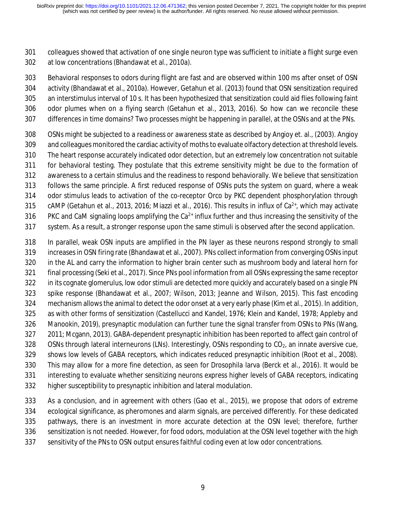colleagues showed that activation of one single neuron type was sufficient to initiate a flight surge even at low concentrations (Bhandawat et al., 2010a).

 Behavioral responses to odors during flight are fast and are observed within 100 ms after onset of OSN activity (Bhandawat et al., 2010a). However, Getahun et al. (2013) found that OSN sensitization required an interstimulus interval of 10 s. It has been hypothesized that sensitization could aid flies following faint odor plumes when on a flying search (Getahun et al., 2013, 2016). So how can we reconcile these differences in time domains? Two processes might be happening in parallel, at the OSNs and at the PNs.

- OSNs might be subjected to a readiness or awareness state as described by Angioy et. al., (2003). Angioy and colleagues monitored the cardiac activity of moths to evaluate olfactory detection at threshold levels. The heart response accurately indicated odor detection, but an extremely low concentration not suitable for behavioral testing. They postulate that this extreme sensitivity might be due to the formation of awareness to a certain stimulus and the readiness to respond behaviorally. We believe that sensitization follows the same principle. A first reduced response of OSNs puts the system on guard, where a weak odor stimulus leads to activation of the co-receptor Orco by PKC dependent phosphorylation through 315 cAMP (Getahun et al., 2013, 2016; Miazzi et al., 2016). This results in influx of  $Ca<sup>2+</sup>$ , which may activate 316 PKC and CaM signaling loops amplifying the  $Ca^{2+}$  influx further and thus increasing the sensitivity of the
- system. As a result, a stronger response upon the same stimuli is observed after the second application.
- In parallel, weak OSN inputs are amplified in the PN layer as these neurons respond strongly to small increases in OSN firing rate (Bhandawat et al., 2007). PNs collect information from converging OSNs input 320 in the AL and carry the information to higher brain center such as mushroom body and lateral horn for final processing (Seki et al., 2017). Since PNs pool information from all OSNs expressing the same receptor 322 in its cognate glomerulus, low odor stimuli are detected more quickly and accurately based on a single PN spike response (Bhandawat et al., 2007; Wilson, 2013; Jeanne and Wilson, 2015). This fast encoding mechanism allows the animal to detect the odor onset at a very early phase (Kim et al., 2015). In addition, as with other forms of sensitization (Castellucci and Kandel, 1976; Klein and Kandel, 1978; Appleby and Manookin, 2019), presynaptic modulation can further tune the signal transfer from OSNs to PNs (Wang, 2011; Mcgann, 2013). GABA-dependent presynaptic inhibition has been reported to affect gain control of 328 OSNs through lateral interneurons (LNs). Interestingly, OSNs responding to CO<sub>2</sub>, an innate aversive cue, shows low levels of GABA receptors, which indicates reduced presynaptic inhibition (Root et al., 2008). This may allow for a more fine detection, as seen for *Drosophila* larva (Berck et al., 2016). It would be interesting to evaluate whether sensitizing neurons express higher levels of GABA receptors, indicating higher susceptibility to presynaptic inhibition and lateral modulation.

 As a conclusion, and in agreement with others (Gao et al., 2015), we propose that odors of extreme ecological significance, as pheromones and alarm signals, are perceived differently. For these dedicated pathways, there is an investment in more accurate detection at the OSN level; therefore, further sensitization is not needed. However, for food odors, modulation at the OSN level together with the high sensitivity of the PNs to OSN output ensures faithful coding even at low odor concentrations.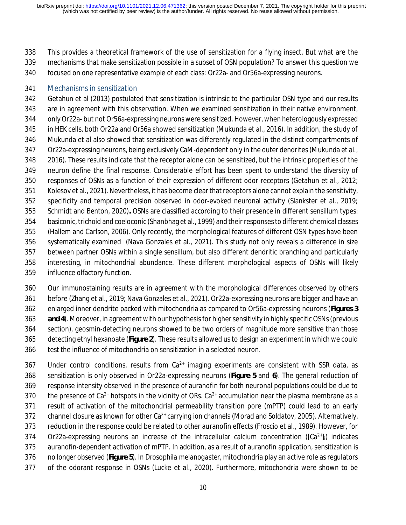This provides a theoretical framework of the use of sensitization for a flying insect. But what are the mechanisms that make sensitization possible in a subset of OSN population? To answer this question we

focused on one representative example of each class: Or22a- and Or56a-expressing neurons.

#### Mechanisms in sensitization

 Getahun et al (2013) postulated that sensitization is intrinsic to the particular OSN type and our results are in agreement with this observation. When we examined sensitization in their native environment, only Or22a- but not Or56a-expressing neurons were sensitized. However, when heterologously expressed in HEK cells, both Or22a and Or56a showed sensitization (Mukunda et al., 2016). In addition, the study of Mukunda et al also showed that sensitization was differently regulated in the distinct compartments of Or22a-expressing neurons, being exclusively CaM-dependent only in the outer dendrites (Mukunda et al., 2016). These results indicate that the receptor alone can be sensitized, but the intrinsic properties of the neuron define the final response. Considerable effort has been spent to understand the diversity of responses of OSNs as a function of their expression of different odor receptors (Getahun et al., 2012; Kolesov et al., 2021). Nevertheless, it has become clear that receptors alone cannot explain the sensitivity, specificity and temporal precision observed in odor-evoked neuronal activity (Slankster et al., 2019; Schmidt and Benton, 2020)**.** OSNs are classified according to their presence in different sensillum types: basiconic, trichoid and coeloconic (Shanbhag et al., 1999) and their responses to different chemical classes (Hallem and Carlson, 2006). Only recently, the morphological features of different OSN types have been systematically examined (Nava Gonzales et al., 2021). This study not only reveals a difference in size between partner OSNs within a single sensillum, but also different dendritic branching and particularly interesting, in mitochondrial abundance. These different morphological aspects of OSNs will likely influence olfactory function.

 Our immunostaining results are in agreement with the morphological differences observed by others before (Zhang et al., 2019; Nava Gonzales et al., 2021). Or22a-expressing neurons are bigger and have an enlarged inner dendrite packed with mitochondria as compared to Or56a-expressing neurons (**Figures 3 and 4**). Moreover, in agreement with our hypothesis for higher sensitivity in highly specific OSNs (previous section), geosmin-detecting neurons showed to be two orders of magnitude more sensitive than those detecting ethyl hexanoate (**Figure 2**). These results allowed us to design an experiment in which we could test the influence of mitochondria on sensitization in a selected neuron.

367 Under control conditions, results from  $Ca^{2+}$  imaging experiments are consistent with SSR data, as sensitization is only observed in Or22a-expressing neurons (**Figure 5** and **6**). The general reduction of response intensity observed in the presence of auranofin for both neuronal populations could be due to 370 the presence of Ca<sup>2+</sup> hotspots in the vicinity of ORs. Ca<sup>2+</sup> accumulation near the plasma membrane as a result of activation of the mitochondrial permeability transition pore (mPTP) could lead to an early 372 channel closure as known for other  $Ca^{2+}$  carrying ion channels (Morad and Soldatov, 2005). Alternatively, reduction in the response could be related to other auranofin effects (Froscio et al., 1989). However, for 374 Or22a-expressing neurons an increase of the intracellular calcium concentration ( $[Ca<sup>2+</sup>]$ ) indicates auranofin-dependent activation of mPTP. In addition, as a result of auranofin application, sensitization is no longer observed (**Figure 5**). In *Drosophila melanogaster*, mitochondria play an active role as regulators of the odorant response in OSNs (Lucke et al., 2020). Furthermore, mitochondria were shown to be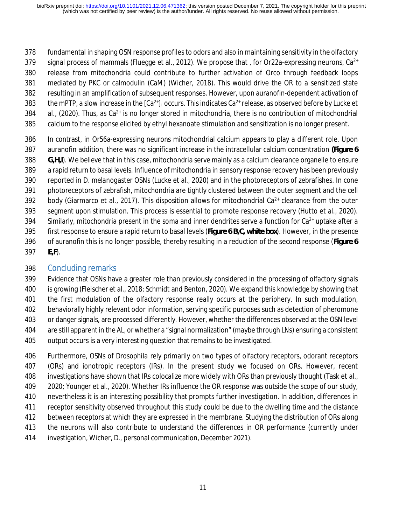fundamental in shaping OSN response profiles to odors and also in maintaining sensitivity in the olfactory 379 signal process of mammals (Fluegge et al., 2012). We propose that , for Or22a-expressing neurons,  $Ca^{2+}$  release from mitochondria could contribute to further activation of Orco through feedback loops mediated by PKC or calmodulin (CaM) (Wicher, 2018). This would drive the OR to a sensitized state resulting in an amplification of subsequent responses. However, upon auranofin-dependent activation of 383 the mPTP, a slow increase in the  $[Ca^{2+}]_i$  occurs. This indicates  $Ca^{2+}$  release, as observed before by Lucke et 384 al., (2020). Thus, as  $Ca^{2+}$  is no longer stored in mitochondria, there is no contribution of mitochondrial

- calcium to the response elicited by ethyl hexanoate stimulation and sensitization is no longer present.
- In contrast, in Or56a-expressing neurons mitochondrial calcium appears to play a different role. Upon auranofin addition, there was no significant increase in the intracellular calcium concentration **(Figure 6 G,H,I**). We believe that in this case, mitochondria serve mainly as a calcium clearance organelle to ensure a rapid return to basal levels. Influence of mitochondria in sensory response recovery has been previously reported in *D. melanogaster* OSNs (Lucke et al., 2020) and in the photoreceptors of zebrafishes. In cone photoreceptors of zebrafish, mitochondria are tightly clustered between the outer segment and the cell 392 body (Giarmarco et al., 2017). This disposition allows for mitochondrial Ca<sup>2+</sup> clearance from the outer segment upon stimulation. This process is essential to promote response recovery (Hutto et al., 2020). Similarly, mitochondria present in the soma and inner dendrites serve a function for  $Ca^{2+}$  uptake after a first response to ensure a rapid return to basal levels (**Figure 6 B,C, white box**). However, in the presence of auranofin this is no longer possible, thereby resulting in a reduction of the second response (**Figure 6 E,F**).

## Concluding remarks

 Evidence that OSNs have a greater role than previously considered in the processing of olfactory signals is growing (Fleischer et al., 2018; Schmidt and Benton, 2020). We expand this knowledge by showing that the first modulation of the olfactory response really occurs at the periphery. In such modulation, behaviorally highly relevant odor information, serving specific purposes such as detection of pheromone or danger signals, are processed differently. However, whether the differences observed at the OSN level are still apparent in the AL, or whether a "signal normalization" (maybe through LNs) ensuring a consistent output occurs is a very interesting question that remains to be investigated.

 Furthermore, OSNs of *Drosophila* rely primarily on two types of olfactory receptors, odorant receptors (ORs) and ionotropic receptors (IRs). In the present study we focused on ORs. However, recent investigations have shown that IRs colocalize more widely with ORs than previously thought (Task et al., 409 2020; Younger et al., 2020). Whether IRs influence the OR response was outside the scope of our study, nevertheless it is an interesting possibility that prompts further investigation. In addition, differences in receptor sensitivity observed throughout this study could be due to the dwelling time and the distance between receptors at which they are expressed in the membrane. Studying the distribution of ORs along the neurons will also contribute to understand the differences in OR performance (currently under investigation, Wicher, D., personal communication, December 2021).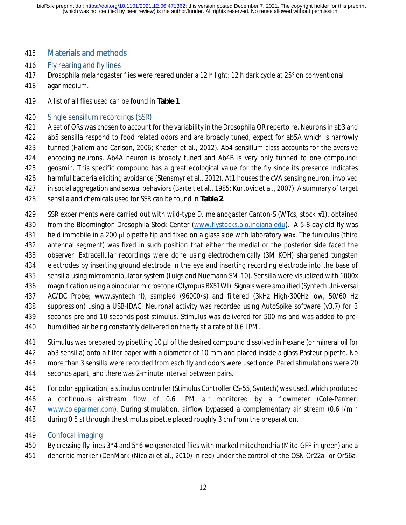#### Materials and methods

- Fly rearing and fly lines
- *Drosophila melanogaster* flies were reared under a 12 h light: 12 h dark cycle at 25° on conventional
- agar medium.
- A list of all flies used can be found in **Table 1**.

#### Single sensillum recordings (SSR)

 A set of ORs was chosen to account for the variability in the *Drosophila* OR repertoire. Neurons in ab3 and ab5 sensilla respond to food related odors and are broadly tuned, expect for ab5A which is narrowly tunned (Hallem and Carlson, 2006; Knaden et al., 2012). Ab4 sensillum class accounts for the aversive encoding neurons. Ab4A neuron is broadly tuned and Ab4B is very only tunned to one compound: geosmin. This specific compound has a great ecological value for the fly since its presence indicates harmful bacteria eliciting avoidance (Stensmyr et al., 2012). At1 houses the cVA sensing neuron, involved 427 in social aggregation and sexual behaviors (Bartelt et al., 1985; Kurtovic et al., 2007). A summary of target sensilla and chemicals used for SSR can be found in **Table 2**.

- SSR experiments were carried out with wild-type *D. melanogaster* Canton-S (WTcs, stock #1), obtained from the Bloomington Drosophila Stock Center (www.flystocks.bio.indiana.edu). A 5-8-day old fly was held immobile in a 200 μl pipette tip and fixed on a glass side with laboratory wax. The funiculus (third
- antennal segment) was fixed in such position that either the medial or the posterior side faced the
- observer. Extracellular recordings were done using electrochemically (3M KOH) sharpened tungsten
- 434 electrodes by inserting ground electrode in the eye and inserting recording electrode into the base of sensilla using micromanipulator system (Luigs and Nuemann SM-10). Sensilla were visualized with 1000x
- magnification using a binocular microscope (Olympus BX51WI). Signals were amplified (Syntech Uni-versal
- AC/DC Probe; www.syntech.nl), sampled (96000/s) and filtered (3kHz High-300Hz low, 50/60 Hz
- suppression) using a USB-IDAC. Neuronal activity was recorded using AutoSpike software (v3.7) for 3

seconds pre and 10 seconds post stimulus. Stimulus was delivered for 500 ms and was added to pre-

- humidified air being constantly delivered on the fly at a rate of 0.6 LPM.
- Stimulus was prepared by pipetting 10 μl of the desired compound dissolved in hexane (or mineral oil for
- ab3 sensilla) onto a filter paper with a diameter of 10 mm and placed inside a glass Pasteur pipette. No
- more than 3 sensilla were recorded from each fly and odors were used once. Pared stimulations were 20
- seconds apart, and there was 2-minute interval between pairs.
- For odor application, a stimulus controller (Stimulus Controller CS-55, Syntech) was used, which produced a continuous airstream flow of 0.6 LPM air monitored by a flowmeter (Cole-Parmer, www.coleparmer.com). During stimulation, airflow bypassed a complementary air stream (0.6 l/min during 0.5 s) through the stimulus pipette placed roughly 3 cm from the preparation.
- Confocal imaging
- By crossing fly lines 3\*4 and 5\*6 we generated flies with marked mitochondria (Mito-GFP in green) and a
- dendritic marker (DenMark (Nicolaï et al., 2010) in red) under the control of the OSN Or22a- or Or56a-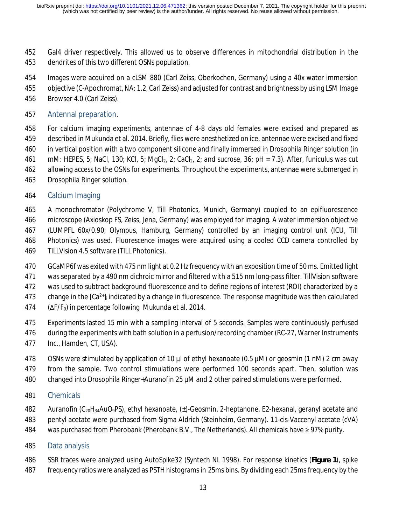Gal4 driver respectively. This allowed us to observe differences in mitochondrial distribution in the dendrites of this two different OSNs population.

Images were acquired on a cLSM 880 (Carl Zeiss, Oberkochen, Germany) using a 40x water immersion

objective (C-Apochromat, NA: 1.2, Carl Zeiss) and adjusted for contrast and brightness by using LSM Image

Browser 4.0 (Carl Zeiss).

#### Antennal preparation.

 For calcium imaging experiments, antennae of 4-8 days old females were excised and prepared as described in Mukunda et al. 2014. Briefly, flies were anesthetized on ice, antennae were excised and fixed in vertical position with a two component silicone and finally immersed in *Drosophila* Ringer solution (in mM: HEPES, 5; NaCl, 130; KCl, 5; MgCl2, 2; CaCl2, 2; and sucrose, 36; pH = 7.3). After, funiculus was cut allowing access to the OSNs for experiments. Throughout the experiments, antennae were submerged in *Drosophila* Ringer solution.

#### Calcium Imaging

 A monochromator (Polychrome V, Till Photonics, Munich, Germany) coupled to an epifluorescence microscope (Axioskop FS, Zeiss, Jena, Germany) was employed for imaging. A water immersion objective (LUMPFL 60x/0.90; Olympus, Hamburg, Germany) controlled by an imaging control unit (ICU, Till Photonics) was used. Fluorescence images were acquired using a cooled CCD camera controlled by TILLVision 4.5 software (TILL Photonics).

 GCaMP6f was exited with 475 nm light at 0.2 Hz frequency with an exposition time of 50 ms. Emitted light was separated by a 490 nm dichroic mirror and filtered with a 515 nm long-pass filter. TillVision software

was used to subtract background fluorescence and to define regions of interest (ROI) characterized by a

473 change in the  $[Ca<sup>2+</sup>]$  indicated by a change in fluorescence. The response magnitude was then calculated

- (∆F/F0) in percentage following Mukunda et al. 2014.
- Experiments lasted 15 min with a sampling interval of 5 seconds. Samples were continuously perfused
- during the experiments with bath solution in a perfusion/recording chamber (RC-27, Warner Instruments
- Inc., Hamden, CT, USA).
- OSNs were stimulated by application of 10 µl of ethyl hexanoate (0.5 µM) or geosmin (1 nM) 2 cm away
- from the sample. Two control stimulations were performed 100 seconds apart. Then, solution was
- changed into *Drosophila* Ringer+Auranofin 25 µM and 2 other paired stimulations were performed.
- Chemicals
- Auranofin (C20H34AuO9PS), ethyl hexanoate, (±)-Geosmin, 2-heptanone, E2-hexanal, geranyl acetate and
- pentyl acetate were purchased from Sigma Aldrich (Steinheim, Germany). 11-cis-Vaccenyl acetate (cVA)
- was purchased from Pherobank (Pherobank B.V., The Netherlands). All chemicals have ≥ 97% purity.
- Data analysis
- SSR traces were analyzed using AutoSpike32 (Syntech NL 1998). For response kinetics (**Figure 1**), spike
- frequency ratios were analyzed as PSTH histograms in 25ms bins. By dividing each 25ms frequency by the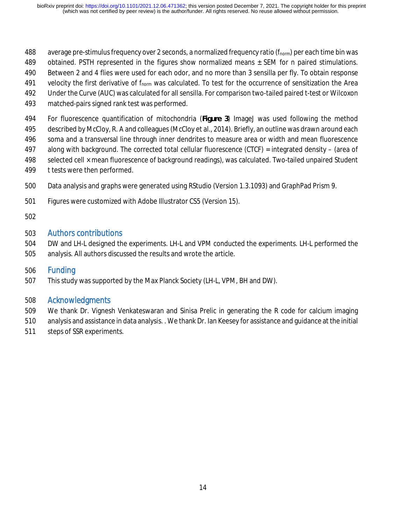- 488 average pre-stimulus frequency over 2 seconds, a normalized frequency ratio ( $f_{\text{norm}}$ ) per each time bin was
- obtained. PSTH represented in the figures show normalized means ± SEM for *n* paired stimulations.
- Between 2 and 4 flies were used for each odor, and no more than 3 sensilla per fly. To obtain response
- 491 velocity the first derivative of  $f_{\text{norm}}$  was calculated. To test for the occurrence of sensitization the Area
- Under the Curve (AUC) was calculated for all sensilla. For comparison two-tailed paired t-test or Wilcoxon
- matched-pairs signed rank test was performed.

For fluorescence quantification of mitochondria (**Figure 3**) ImageJ was used following the method

described by McCloy, R. A and colleagues (McCloy et al., 2014). Briefly, an outline was drawn around each

soma and a transversal line through inner dendrites to measure area or width and mean fluorescence

- along with background. The corrected total cellular fluorescence (CTCF) = integrated density (area of
- 498 selected cell × mean fluorescence of background readings), was calculated. Two-tailed unpaired Student
- *t* tests were then performed.
- Data analysis and graphs were generated using RStudio (Version 1.3.1093) and GraphPad Prism 9.
- Figures were customized with Adobe Illustrator CS5 (Version 15).
- 

# Authors contributions

 DW and LH-L designed the experiments. LH-L and VPM conducted the experiments. LH-L performed the analysis. All authors discussed the results and wrote the article.

## Funding

This study was supported by the Max Planck Society (LH-L, VPM, BH and DW).

## Acknowledgments

- We thank Dr. Vignesh Venkateswaran and Sinisa Prelic in generating the R code for calcium imaging
- analysis and assistance in data analysis. . We thank Dr. Ian Keesey for assistance and guidance at the initial
- steps of SSR experiments.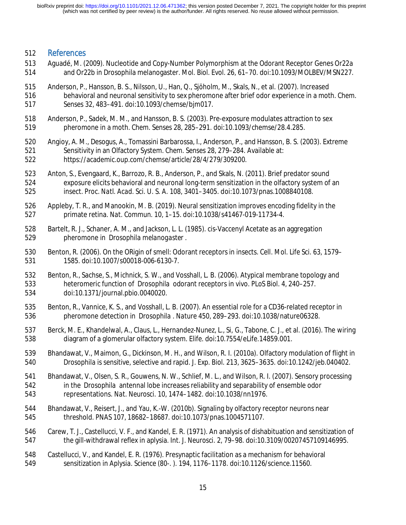#### References

- Aguadé, M. (2009). Nucleotide and Copy-Number Polymorphism at the Odorant Receptor Genes Or22a and Or22b in Drosophila melanogaster. *Mol. Biol. Evol.* 26, 61–70. doi:10.1093/MOLBEV/MSN227.
- Anderson, P., Hansson, B. S., Nilsson, U., Han, Q., Sjöholm, M., Skals, N., et al. (2007). Increased behavioral and neuronal sensitivity to sex pheromone after brief odor experience in a moth. *Chem.*
- *Senses* 32, 483–491. doi:10.1093/chemse/bjm017.
- Anderson, P., Sadek, M. M., and Hansson, B. S. (2003). Pre-exposure modulates attraction to sex pheromone in a moth. *Chem. Senses* 28, 285–291. doi:10.1093/chemse/28.4.285.
- Angioy, A. M., Desogus, A., Tomassini Barbarossa, I., Anderson, P., and Hansson, B. S. (2003). Extreme Sensitivity in an Olfactory System. *Chem. Senses* 28, 279–284. Available at: https://academic.oup.com/chemse/article/28/4/279/309200.
- Anton, S., Evengaard, K., Barrozo, R. B., Anderson, P., and Skals, N. (2011). Brief predator sound exposure elicits behavioral and neuronal long-term sensitization in the olfactory system of an insect. *Proc. Natl. Acad. Sci. U. S. A.* 108, 3401–3405. doi:10.1073/pnas.1008840108.
- Appleby, T. R., and Manookin, M. B. (2019). Neural sensitization improves encoding fidelity in the primate retina. *Nat. Commun.* 10, 1–15. doi:10.1038/s41467-019-11734-4.
- Bartelt, R. J., Schaner, A. M., and Jackson, L. L. (1985). cis-Vaccenyl Acetate as an aggregation pheromone in *Drosophila melanogaster* .
- Benton, R. (2006). On the ORigin of smell: Odorant receptors in insects. *Cell. Mol. Life Sci.* 63, 1579– 1585. doi:10.1007/s00018-006-6130-7.
- Benton, R., Sachse, S., Michnick, S. W., and Vosshall, L. B. (2006). Atypical membrane topology and heteromeric function of *Drosophila* odorant receptors in vivo. *PLoS Biol.* 4, 240–257. doi:10.1371/journal.pbio.0040020.
- Benton, R., Vannice, K. S., and Vosshall, L. B. (2007). An essential role for a CD36-related receptor in pheromone detection in *Drosophila* . *Nature* 450, 289–293. doi:10.1038/nature06328.
- Berck, M. E., Khandelwal, A., Claus, L., Hernandez-Nunez, L., Si, G., Tabone, C. J., et al. (2016). The wiring diagram of a glomerular olfactory system. *Elife*. doi:10.7554/eLife.14859.001.
- Bhandawat, V., Maimon, G., Dickinson, M. H., and Wilson, R. I. (2010a). Olfactory modulation of flight in *Drosophila* is sensitive, selective and rapid. *J. Exp. Biol.* 213, 3625–3635. doi:10.1242/jeb.040402.
- Bhandawat, V., Olsen, S. R., Gouwens, N. W., Schlief, M. L., and Wilson, R. I. (2007). Sensory processing in the *Drosophila* antennal lobe increases reliability and separability of ensemble odor representations. *Nat. Neurosci.* 10, 1474–1482. doi:10.1038/nn1976.
- Bhandawat, V., Reisert, J., and Yau, K.-W. (2010b). Signaling by olfactory receptor neurons near threshold. *PNAS* 107, 18682–18687. doi:10.1073/pnas.1004571107.
- Carew, T. J., Castellucci, V. F., and Kandel, E. R. (1971). An analysis of dishabituation and sensitization of the gill-withdrawal reflex in aplysia. *Int. J. Neurosci.* 2, 79–98. doi:10.3109/00207457109146995.
- Castellucci, V., and Kandel, E. R. (1976). Presynaptic facilitation as a mechanism for behavioral sensitization in *Aplysia*. *Science (80-. ).* 194, 1176–1178. doi:10.1126/science.11560.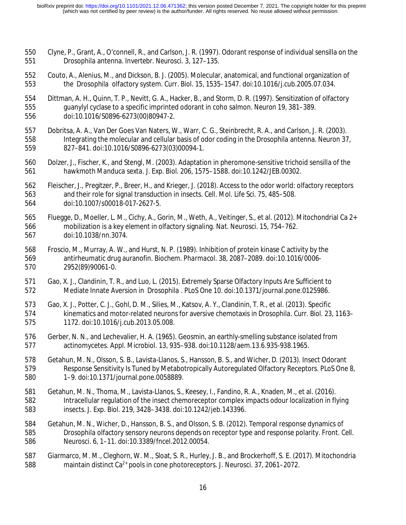- Clyne, P., Grant, A., O'connell, R., and Carlson, J. R. (1997). Odorant response of individual sensilla on the *Drosophila* antenna. *Invertebr. Neurosci.* 3, 127–135.
- 552 Couto, A., Alenius, M., and Dickson, B. J. (2005). Molecular, anatomical, and functional organization of 553 the *Drosophila* olfactory system. *Curr. Biol.* 15, 1535–1547. doi:10.1016/j.cub.2005.07.034. the *Drosophila* olfactory system. *Curr. Biol.* 15, 1535–1547. doi:10.1016/j.cub.2005.07.034.
- Dittman, A. H., Quinn, T. P., Nevitt, G. A., Hacker, B., and Storm, D. R. (1997). Sensitization of olfactory guanylyl cyclase to a specific imprinted odorant in coho salmon. *Neuron* 19, 381–389. doi:10.1016/S0896-6273(00)80947-2.
- Dobritsa, A. A., Van Der Goes Van Naters, W., Warr, C. G., Steinbrecht, R. A., and Carlson, J. R. (2003). Integrating the molecular and cellular basis of odor coding in the *Drosophila* antenna. *Neuron* 37, 827–841. doi:10.1016/S0896-6273(03)00094-1.
- Dolzer, J., Fischer, K., and Stengl, M. (2003). Adaptation in pheromone-sensitive trichoid sensilla of the hawkmoth *Manduca sexta*. *J. Exp. Biol.* 206, 1575–1588. doi:10.1242/JEB.00302.
- Fleischer, J., Pregitzer, P., Breer, H., and Krieger, J. (2018). Access to the odor world: olfactory receptors and their role for signal transduction in insects. *Cell. Mol. Life Sci.* 75, 485–508. doi:10.1007/s00018-017-2627-5.
- Fluegge, D., Moeller, L. M., Cichy, A., Gorin, M., Weth, A., Veitinger, S., et al. (2012). Mitochondrial Ca 2+ mobilization is a key element in olfactory signaling. *Nat. Neurosci.* 15, 754–762. doi:10.1038/nn.3074.
- Froscio, M., Murray, A. W., and Hurst, N. P. (1989). Inhibition of protein kinase C activity by the antirheumatic drug auranofin. *Biochem. Pharmacol.* 38, 2087–2089. doi:10.1016/0006- 2952(89)90061-0.
- Gao, X. J., Clandinin, T. R., and Luo, L. (2015). Extremely Sparse Olfactory Inputs Are Sufficient to Mediate Innate Aversion in *Drosophila* . *PLoS One* 10. doi:10.1371/journal.pone.0125986.
- Gao, X. J., Potter, C. J., Gohl, D. M., Silies, M., Katsov, A. Y., Clandinin, T. R., et al. (2013). Specific kinematics and motor-related neurons for aversive chemotaxis in *Drosophila*. *Curr. Biol.* 23, 1163– 1172. doi:10.1016/j.cub.2013.05.008.
- Gerber, N. N., and Lechevalier, H. A. (1965). Geosmin, an earthly-smelling substance isolated from actinomycetes. *Appl. Microbiol.* 13, 935–938. doi:10.1128/aem.13.6.935-938.1965.
- Getahun, M. N., Olsson, S. B., Lavista-Llanos, S., Hansson, B. S., and Wicher, D. (2013). Insect Odorant Response Sensitivity Is Tuned by Metabotropically Autoregulated Olfactory Receptors. *PLoS One* 8, 1–9. doi:10.1371/journal.pone.0058889.
- Getahun, M. N., Thoma, M., Lavista-Llanos, S., Keesey, I., Fandino, R. A., Knaden, M., et al. (2016). Intracellular regulation of the insect chemoreceptor complex impacts odour localization in flying insects. *J. Exp. Biol.* 219, 3428–3438. doi:10.1242/jeb.143396.
- Getahun, M. N., Wicher, D., Hansson, B. S., and Olsson, S. B. (2012). Temporal response dynamics of *Drosophila* olfactory sensory neurons depends on receptor type and response polarity. *Front. Cell. Neurosci.* 6, 1–11. doi:10.3389/fncel.2012.00054.
- Giarmarco, M. M., Cleghorn, W. M., Sloat, S. R., Hurley, J. B., and Brockerhoff, S. E. (2017). Mitochondria 588 maintain distinct Ca<sup>2+</sup> pools in cone photoreceptors. *J. Neurosci.* 37, 2061–2072.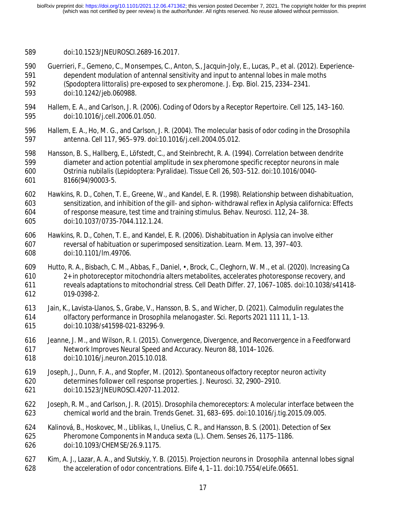- doi:10.1523/JNEUROSCI.2689-16.2017.
- Guerrieri, F., Gemeno, C., Monsempes, C., Anton, S., Jacquin-Joly, E., Lucas, P., et al. (2012). Experience-591 dependent modulation of antennal sensitivity and input to antennal lobes in male moths<br>592 (Spodoptera littoralis) pre-exposed to sex pheromone. *J. Exp. Biol.* 215. 2334–2341. (Spodoptera littoralis) pre-exposed to sex pheromone. *J. Exp. Biol.* 215, 2334–2341.
- doi:10.1242/jeb.060988.
- Hallem, E. A., and Carlson, J. R. (2006). Coding of Odors by a Receptor Repertoire. *Cell* 125, 143–160. doi:10.1016/j.cell.2006.01.050.
- Hallem, E. A., Ho, M. G., and Carlson, J. R. (2004). The molecular basis of odor coding in the *Drosophila* antenna. *Cell* 117, 965–979. doi:10.1016/j.cell.2004.05.012.
- Hansson, B. S., Hallberg, E., Löfstedt, C., and Steinbrecht, R. A. (1994). Correlation between dendrite diameter and action potential amplitude in sex pheromone specific receptor neurons in male *Ostrinia nubilalis* (Lepidoptera: Pyralidae). *Tissue Cell* 26, 503–512. doi:10.1016/0040- 8166(94)90003-5.
- Hawkins, R. D., Cohen, T. E., Greene, W., and Kandel, E. R. (1998). Relationship between dishabituation, sensitization, and inhibition of the gill- and siphon- withdrawal reflex in Aplysia californica: Effects of response measure, test time and training stimulus. *Behav. Neurosci.* 112, 24–38. doi:10.1037/0735-7044.112.1.24.
- Hawkins, R. D., Cohen, T. E., and Kandel, E. R. (2006). Dishabituation in Aplysia can involve either reversal of habituation or superimposed sensitization. *Learn. Mem.* 13, 397–403. doi:10.1101/lm.49706.
- Hutto, R. A., Bisbach, C. M., Abbas, F., Daniel, •, Brock, C., Cleghorn, W. M., et al. (2020). Increasing Ca 2+ in photoreceptor mitochondria alters metabolites, accelerates photoresponse recovery, and reveals adaptations to mitochondrial stress. *Cell Death Differ.* 27, 1067–1085. doi:10.1038/s41418- 019-0398-2.
- Jain, K., Lavista-Llanos, S., Grabe, V., Hansson, B. S., and Wicher, D. (2021). Calmodulin regulates the olfactory performance in *Drosophila melanogaster*. *Sci. Reports 2021 111* 11, 1–13. doi:10.1038/s41598-021-83296-9.
- Jeanne, J. M., and Wilson, R. I. (2015). Convergence, Divergence, and Reconvergence in a Feedforward Network Improves Neural Speed and Accuracy. *Neuron* 88, 1014–1026. doi:10.1016/j.neuron.2015.10.018.
- Joseph, J., Dunn, F. A., and Stopfer, M. (2012). Spontaneous olfactory receptor neuron activity determines follower cell response properties. *J. Neurosci.* 32, 2900–2910. doi:10.1523/JNEUROSCI.4207-11.2012.
- Joseph, R. M., and Carlson, J. R. (2015). Drosophila chemoreceptors: A molecular interface between the chemical world and the brain. *Trends Genet.* 31, 683–695. doi:10.1016/j.tig.2015.09.005.
- Kalinová, B., Hoskovec, M., Liblikas, I., Unelius, C. R., and Hansson, B. S. (2001). Detection of Sex Pheromone Components in *Manduca sexta* (L.). *Chem. Senses* 26, 1175–1186. doi:10.1093/CHEMSE/26.9.1175.
- Kim, A. J., Lazar, A. A., and Slutskiy, Y. B. (2015). Projection neurons in *Drosophila* antennal lobes signal the acceleration of odor concentrations. *Elife* 4, 1–11. doi:10.7554/eLife.06651.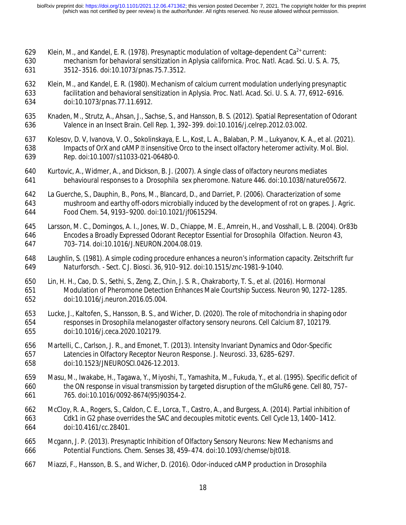- 629 Klein, M., and Kandel, E. R. (1978). Presynaptic modulation of voltage-dependent Ca<sup>2+</sup> current:
- mechanism for behavioral sensitization in *Aplysia californica*. *Proc. Natl. Acad. Sci. U. S. A.* 75, 3512–3516. doi:10.1073/pnas.75.7.3512.
- Klein, M., and Kandel, E. R. (1980). Mechanism of calcium current modulation underlying presynaptic facilitation and behavioral sensitization in Aplysia. *Proc. Natl. Acad. Sci. U. S. A.* 77, 6912–6916. doi:10.1073/pnas.77.11.6912.
- Knaden, M., Strutz, A., Ahsan, J., Sachse, S., and Hansson, B. S. (2012). Spatial Representation of Odorant Valence in an Insect Brain. *Cell Rep.* 1, 392–399. doi:10.1016/j.celrep.2012.03.002.
- Kolesov, D. V, Ivanova, V. O., Sokolinskaya, E. L., Kost, L. A., Balaban, P. M., Lukyanov, K. A., et al. (2021). 638 Impacts of OrX and cAMP **a** insensitive Orco to the insect olfactory heteromer activity. *Mol. Biol. Rep.* doi:10.1007/s11033-021-06480-0.
- Kurtovic, A., Widmer, A., and Dickson, B. J. (2007). A single class of olfactory neurons mediates behavioural responses to a *Drosophila* sex pheromone. *Nature* 446. doi:10.1038/nature05672.
- La Guerche, S., Dauphin, B., Pons, M., Blancard, D., and Darriet, P. (2006). Characterization of some mushroom and earthy off-odors microbially induced by the development of rot on grapes. *J. Agric. Food Chem.* 54, 9193–9200. doi:10.1021/jf0615294.
- Larsson, M. C., Domingos, A. I., Jones, W. D., Chiappe, M. E., Amrein, H., and Vosshall, L. B. (2004). Or83b Encodes a Broadly Expressed Odorant Receptor Essential for *Drosophila* Olfaction. *Neuron* 43, 703–714. doi:10.1016/J.NEURON.2004.08.019.
- Laughlin, S. (1981). A simple coding procedure enhances a neuron's information capacity. *Zeitschrift fur Naturforsch. - Sect. C J. Biosci.* 36, 910–912. doi:10.1515/znc-1981-9-1040.
- Lin, H. H., Cao, D. S., Sethi, S., Zeng, Z., Chin, J. S. R., Chakraborty, T. S., et al. (2016). Hormonal Modulation of Pheromone Detection Enhances Male Courtship Success. *Neuron* 90, 1272–1285. doi:10.1016/j.neuron.2016.05.004.
- Lucke, J., Kaltofen, S., Hansson, B. S., and Wicher, D. (2020). The role of mitochondria in shaping odor responses in Drosophila melanogaster olfactory sensory neurons. *Cell Calcium* 87, 102179. doi:10.1016/j.ceca.2020.102179.
- Martelli, C., Carlson, J. R., and Emonet, T. (2013). Intensity Invariant Dynamics and Odor-Specific Latencies in Olfactory Receptor Neuron Response. *J. Neurosci.* 33, 6285–6297. doi:10.1523/JNEUROSCI.0426-12.2013.
- Masu, M., Iwakabe, H., Tagawa, Y., Miyoshi, T., Yamashita, M., Fukuda, Y., et al. (1995). Specific deficit of the ON response in visual transmission by targeted disruption of the mGIuR6 gene. *Cell* 80, 757– 765. doi:10.1016/0092-8674(95)90354-2.
- McCloy, R. A., Rogers, S., Caldon, C. E., Lorca, T., Castro, A., and Burgess, A. (2014). Partial inhibition of Cdk1 in G2 phase overrides the SAC and decouples mitotic events. *Cell Cycle* 13, 1400–1412. doi:10.4161/cc.28401.
- Mcgann, J. P. (2013). Presynaptic Inhibition of Olfactory Sensory Neurons: New Mechanisms and Potential Functions. *Chem. Senses* 38, 459–474. doi:10.1093/chemse/bjt018.
- Miazzi, F., Hansson, B. S., and Wicher, D. (2016). Odor-induced cAMP production in *Drosophila*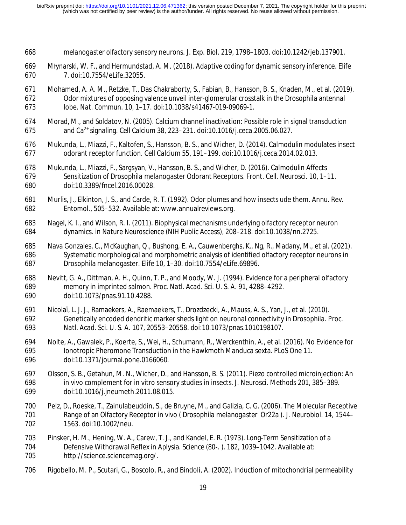- *melanogaster* olfactory sensory neurons. *J. Exp. Biol.* 219, 1798–1803. doi:10.1242/jeb.137901.
- Młynarski, W. F., and Hermundstad, A. M. (2018). Adaptive coding for dynamic sensory inference. *Elife* 7. doi:10.7554/eLife.32055.
- Mohamed, A. A. M., Retzke, T., Das Chakraborty, S., Fabian, B., Hansson, B. S., Knaden, M., et al. (2019). Odor mixtures of opposing valence unveil inter-glomerular crosstalk in the Drosophila antennal lobe. *Nat. Commun.* 10, 1–17. doi:10.1038/s41467-019-09069-1.
- Morad, M., and Soldatov, N. (2005). Calcium channel inactivation: Possible role in signal transduction and Ca2+ 675 signaling. *Cell Calcium* 38, 223–231. doi:10.1016/j.ceca.2005.06.027.
- Mukunda, L., Miazzi, F., Kaltofen, S., Hansson, B. S., and Wicher, D. (2014). Calmodulin modulates insect odorant receptor function. *Cell Calcium* 55, 191–199. doi:10.1016/j.ceca.2014.02.013.
- Mukunda, L., Miazzi, F., Sargsyan, V., Hansson, B. S., and Wicher, D. (2016). Calmodulin Affects Sensitization of *Drosophila melanogaster* Odorant Receptors. *Front. Cell. Neurosci.* 10, 1–11. doi:10.3389/fncel.2016.00028.
- Murlis, J., Elkinton, J. S., and Carde, R. T. (1992). Odor plumes and how insects ude them. *Annu. Rev. Entomol.*, 505–532. Available at: www.annualreviews.org.
- Nagel, K. I., and Wilson, R. I. (2011). Biophysical mechanisms underlying olfactory receptor neuron dynamics. in *Nature Neuroscience* (NIH Public Access), 208–218. doi:10.1038/nn.2725.
- Nava Gonzales, C., McKaughan, Q., Bushong, E. A., Cauwenberghs, K., Ng, R., Madany, M., et al. (2021). Systematic morphological and morphometric analysis of identified olfactory receptor neurons in Drosophila melanogaster. *Elife* 10, 1–30. doi:10.7554/eLife.69896.
- Nevitt, G. A., Dittman, A. H., Quinn, T. P., and Moody, W. J. (1994). Evidence for a peripheral olfactory memory in imprinted salmon. *Proc. Natl. Acad. Sci. U. S. A.* 91, 4288–4292. doi:10.1073/pnas.91.10.4288.
- Nicolaï, L. J. J., Ramaekers, A., Raemaekers, T., Drozdzecki, A., Mauss, A. S., Yan, J., et al. (2010). Genetically encoded dendritic marker sheds light on neuronal connectivity in *Drosophila*. *Proc. Natl. Acad. Sci. U. S. A.* 107, 20553–20558. doi:10.1073/pnas.1010198107.
- Nolte, A., Gawalek, P., Koerte, S., Wei, H., Schumann, R., Werckenthin, A., et al. (2016). No Evidence for Ionotropic Pheromone Transduction in the Hawkmoth Manduca sexta. *PLoS One* 11. doi:10.1371/journal.pone.0166060.
- Olsson, S. B., Getahun, M. N., Wicher, D., and Hansson, B. S. (2011). Piezo controlled microinjection: An in vivo complement for in vitro sensory studies in insects. *J. Neurosci. Methods* 201, 385–389. doi:10.1016/j.jneumeth.2011.08.015.
- Pelz, D., Roeske, T., Zainulabeuddin, S., de Bruyne, M., and Galizia, C. G. (2006). The Molecular Receptive Range of an Olfactory Receptor in vivo ( *Drosophila melanogaster* Or22a ). *J. Neurobiol.* 14, 1544– 1563. doi:10.1002/neu.
- Pinsker, H. M., Hening, W. A., Carew, T. J., and Kandel, E. R. (1973). Long-Term Sensitization of a Defensive Withdrawal Reflex in Aplysia. *Science (80-. ).* 182, 1039–1042. Available at: http://science.sciencemag.org/.
- Rigobello, M. P., Scutari, G., Boscolo, R., and Bindoli, A. (2002). Induction of mitochondrial permeability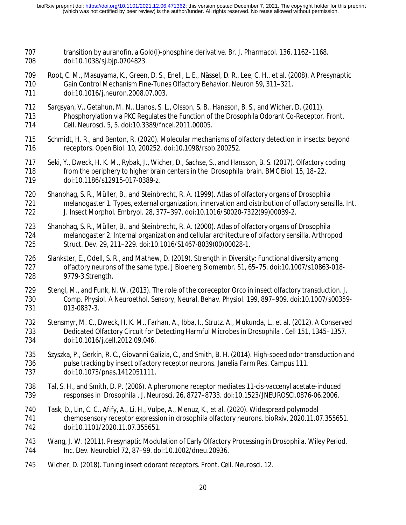- transition by auranofin, a Gold(I)-phosphine derivative. *Br. J. Pharmacol.* 136, 1162–1168. doi:10.1038/sj.bjp.0704823.
- 709 Root, C. M., Masuyama, K., Green, D. S., Enell, L. E., Nässel, D. R., Lee, C. H., et al. (2008). A Presynaptic<br>710 Gain Control Mechanism Fine-Tunes Olfactory Behavior. Neuron 59, 311–321. Gain Control Mechanism Fine-Tunes Olfactory Behavior. *Neuron* 59, 311–321. doi:10.1016/j.neuron.2008.07.003.
- Sargsyan, V., Getahun, M. N., Llanos, S. L., Olsson, S. B., Hansson, B. S., and Wicher, D. (2011).
- Phosphorylation via PKC Regulates the Function of the Drosophila Odorant Co-Receptor. *Front. Cell. Neurosci.* 5, 5. doi:10.3389/fncel.2011.00005.
- Schmidt, H. R., and Benton, R. (2020). Molecular mechanisms of olfactory detection in insects: beyond receptors. *Open Biol.* 10, 200252. doi:10.1098/rsob.200252.
- Seki, Y., Dweck, H. K. M., Rybak, J., Wicher, D., Sachse, S., and Hansson, B. S. (2017). Olfactory coding from the periphery to higher brain centers in the *Drosophila* brain. *BMC Biol.* 15, 18–22. doi:10.1186/s12915-017-0389-z.
- Shanbhag, S. R., Müller, B., and Steinbrecht, R. A. (1999). Atlas of olfactory organs of *Drosophila melanogaster* 1. Types, external organization, innervation and distribution of olfactory sensilla. *Int. J. Insect Morphol. Embryol.* 28, 377–397. doi:10.1016/S0020-7322(99)00039-2.
- Shanbhag, S. R., Müller, B., and Steinbrecht, R. A. (2000). Atlas of olfactory organs of *Drosophila melanogaster* 2. Internal organization and cellular architecture of olfactory sensilla. *Arthropod Struct. Dev.* 29, 211–229. doi:10.1016/S1467-8039(00)00028-1.
- Slankster, E., Odell, S. R., and Mathew, D. (2019). Strength in Diversity: Functional diversity among olfactory neurons of the same type. *J Bioenerg Biomembr.* 51, 65–75. doi:10.1007/s10863-018- 9779-3.Strength.
- Stengl, M., and Funk, N. W. (2013). The role of the coreceptor Orco in insect olfactory transduction. *J. Comp. Physiol. A Neuroethol. Sensory, Neural, Behav. Physiol.* 199, 897–909. doi:10.1007/s00359- 013-0837-3.
- Stensmyr, M. C., Dweck, H. K. M., Farhan, A., Ibba, I., Strutz, A., Mukunda, L., et al. (2012). A Conserved Dedicated Olfactory Circuit for Detecting Harmful Microbes in *Drosophila* . *Cell* 151, 1345–1357. doi:10.1016/j.cell.2012.09.046.
- Szyszka, P., Gerkin, R. C., Giovanni Galizia, C., and Smith, B. H. (2014). High-speed odor transduction and pulse tracking by insect olfactory receptor neurons. *Janelia Farm Res. Campus* 111. doi:10.1073/pnas.1412051111.
- 738 Tal, S. H., and Smith, D. P. (2006). A pheromone receptor mediates 11-cis-vaccenyl acetate-induced<br>739 responses in *Drosophila . J. Neurosci.* 26. 8727–8733. doi:10.1523/JNEUROSCI.0876-06.2006. responses in *Drosophila* . *J. Neurosci.* 26, 8727–8733. doi:10.1523/JNEUROSCI.0876-06.2006.
- Task, D., Lin, C. C., Afify, A., Li, H., Vulpe, A., Menuz, K., et al. (2020). Widespread polymodal chemosensory receptor expression in drosophila olfactory neurons. *bioRxiv*, 2020.11.07.355651. doi:10.1101/2020.11.07.355651.
- Wang, J. W. (2011). Presynaptic Modulation of Early Olfactory Processing in *Drosophila*. *Wiley Period. Inc. Dev. Neurobiol* 72, 87–99. doi:10.1002/dneu.20936.
- Wicher, D. (2018). Tuning insect odorant receptors. *Front. Cell. Neurosci.* 12.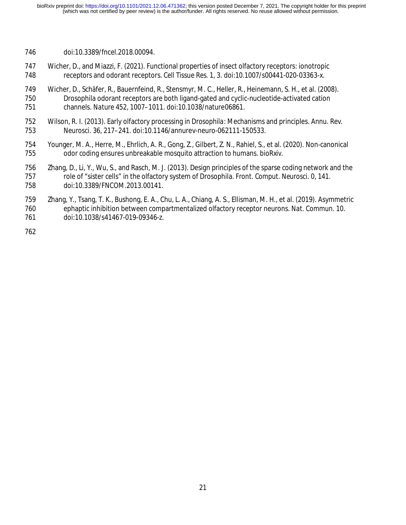- doi:10.3389/fncel.2018.00094.
- Wicher, D., and Miazzi, F. (2021). Functional properties of insect olfactory receptors: ionotropic receptors and odorant receptors. *Cell Tissue Res.* 1, 3. doi:10.1007/s00441-020-03363-x.
- Wicher, D., Schäfer, R., Bauernfeind, R., Stensmyr, M. C., Heller, R., Heinemann, S. H., et al. (2008). Drosophila odorant receptors are both ligand-gated and cyclic-nucleotide-activated cation channels. *Nature* 452, 1007–1011. doi:10.1038/nature06861.
- Wilson, R. I. (2013). Early olfactory processing in *Drosophila*: Mechanisms and principles. *Annu. Rev. Neurosci.* 36, 217–241. doi:10.1146/annurev-neuro-062111-150533.
- Younger, M. A., Herre, M., Ehrlich, A. R., Gong, Z., Gilbert, Z. N., Rahiel, S., et al. (2020). Non-canonical odor coding ensures unbreakable mosquito attraction to humans. *bioRxiv*.
- Zhang, D., Li, Y., Wu, S., and Rasch, M. J. (2013). Design principles of the sparse coding network and the role of "sister cells" in the olfactory system of Drosophila. *Front. Comput. Neurosci.* 0, 141. doi:10.3389/FNCOM.2013.00141.
- Zhang, Y., Tsang, T. K., Bushong, E. A., Chu, L. A., Chiang, A. S., Ellisman, M. H., et al. (2019). Asymmetric ephaptic inhibition between compartmentalized olfactory receptor neurons. *Nat. Commun.* 10. doi:10.1038/s41467-019-09346-z.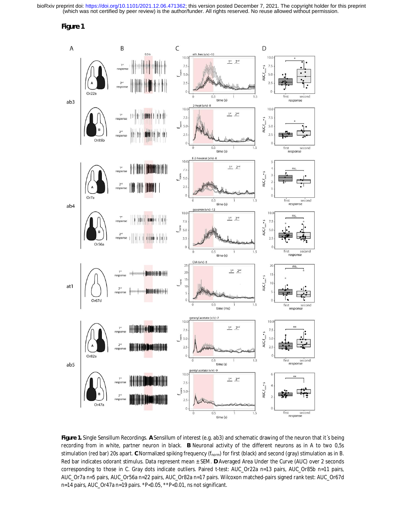

**Figure 1.** Single Sensillum Recordings. **A** Sensillum of interest (e.g. ab3) and schematic drawing of the neuron that it´s being recording from in white, partner neuron in black. **B** Neuronal activity of the different neurons as in A to two 0,5s stimulation (red bar) 20s apart. **C** Normalized spiking frequency (fnorm) for first (black) and second (gray) stimulation as in B. Red bar indicates odorant stimulus. Data represent mean ± SEM. **D** Averaged Area Under the Curve (AUC) over 2 seconds corresponding to those in C. Gray dots indicate outliers. Paired t-test: AUC\_Or22a n=13 pairs, AUC\_Or85b n=11 pairs, AUC\_Or7a n=5 pairs, AUC\_Or56a n=22 pairs, AUC\_Or82a n=17 pairs. Wilcoxon matched-pairs signed rank test: AUC\_Or67d n=14 pairs, AUC\_Or47a n=19 pairs. \*P<0.05, \*\*P<0.01, ns not significant.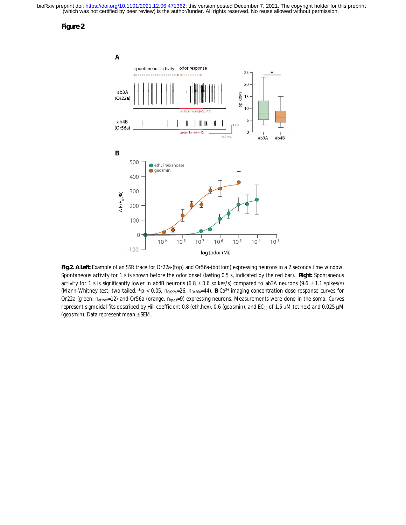

**Fig.2. A Left:** Example of an SSR trace for Or22a-(top) and Or56a-(bottom) expressing neurons in a 2 seconds time window. Spontaneous activity for 1 s is shown before the odor onset (lasting 0.5 s, indicated by the red bar). **Right:** Spontaneous activity for 1 s is significantly lower in ab4B neurons (6.8  $\pm$  0.6 spikes/s) compared to ab3A neurons (9.6  $\pm$  1.1 spikes/s) (Mann-Whitney test, two-tailed, \*p < 0.05, n<sub>Or22a</sub>=26, n<sub>Or56a</sub>=44). B Ca<sup>2+</sup> imaging concentration dose response curves for Or22a (green, n<sub>et.hex</sub>=12) and Or56a (orange, n<sub>geos</sub>=9) expressing neurons. Measurements were done in the soma. Curves represent sigmoidal fits described by Hill coefficient 0.8 (eth.hex), 0.6 (geosmin), and EC<sub>50</sub> of 1.5 µM (et.hex) and 0.025 µM (geosmin). Data represent mean ± SEM.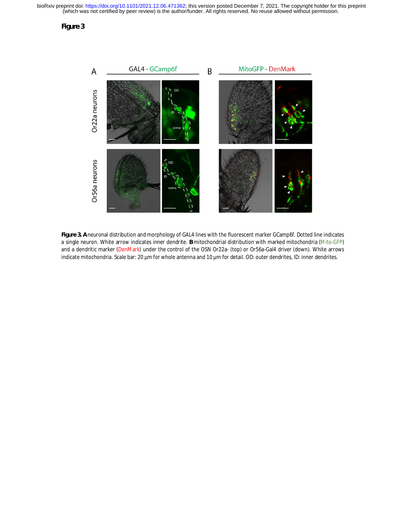

**Figure 3. A** neuronal distribution and morphology of GAL4 lines with the fluorescent marker GCamp6f. Dotted line indicates a single neuron. White arrow indicates inner dendrite. **B** mitochondrial distribution with marked mitochondria (Mito-GFP) and a dendritic marker (DenMark) under the control of the OSN Or22a- (top) or Or56a-Gal4 driver (down). White arrows indicate mitochondria. Scale bar: 20 µm for whole antenna and 10 µm for detail. OD: outer dendrites, ID: inner dendrites.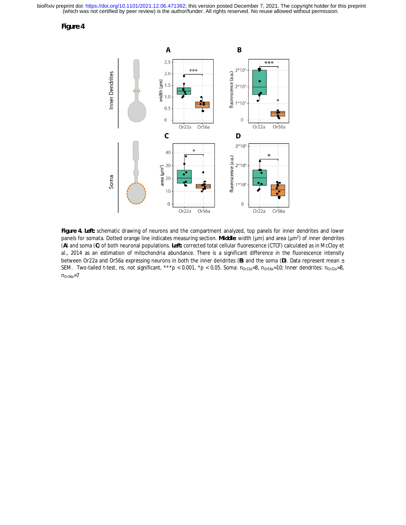**Figure 4**



**Figure 4. Left:** schematic drawing of neurons and the compartment analyzed, top panels for inner dendrites and lower panels for somata. Dotted orange line indicates measuring section. Middle: width (µm) and area (µm<sup>2</sup>) of inner dendrites (**A**) and soma (**C**) of both neuronal populations. **Left:** corrected total cellular fluorescence (CTCF) calculated as in McCloy et al., 2014 as an estimation of mitochondria abundance. There is a significant difference in the fluorescence intensity between Or22a and Or56a expressing neurons in both the inner dendrites (**B**) and the soma (**D**). Data represent mean ± SEM. Two-tailed t-test, ns, not significant, \*\*\*p < 0.001, \*p < 0.05. Soma:  $n_{0r22a} = 8$ ,  $n_{0r56a} = 10$ ; Inner dendrites:  $n_{0r22a} = 8$ ,  $n_{Or56a}=7$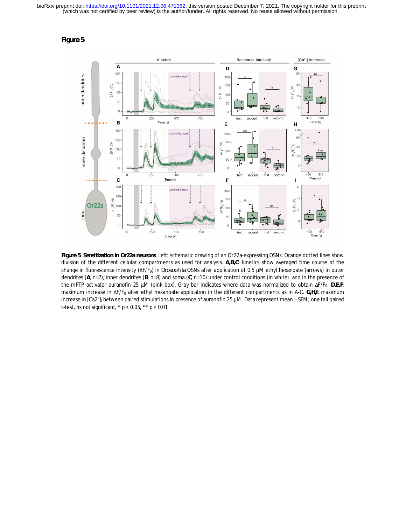

**Figure 5**. **Sensitization in Or22a neurons**. Left: schematic drawing of an Or22a-expressing OSNs. Orange dotted lines show division of the different cellular compartments as used for analysis. **A,B,C**: Kinetics show averaged time course of the change in fluorescence intensity (ΔF/F0) in *Drosophila* OSNs after application of 0.5 µM ethyl hexanoate (arrows) in outer dendrites (**A**, n=7), inner dendrites (**B**, n=8) and soma (**C**, n=10) under control conditions (in white) and in the presence of the mPTP activator auranofin 25 μM (pink box). Gray bar indicates where data was normalized to obtain ΔF/F<sub>0</sub>. D,E,F: maximum increase in ΔF/F0 after ethyl hexanoate application in the different compartments as in A-C. **G,H,I**: maximum increase in [Ca2<sup>+</sup> ]i between paired stimulations in presence of auranofin 25 µM. Data represent mean ± SEM; one tail paired t-test, ns not significant,  $*$  p  $\leq$  0.05,  $*$  $*$  p  $\leq$  0.01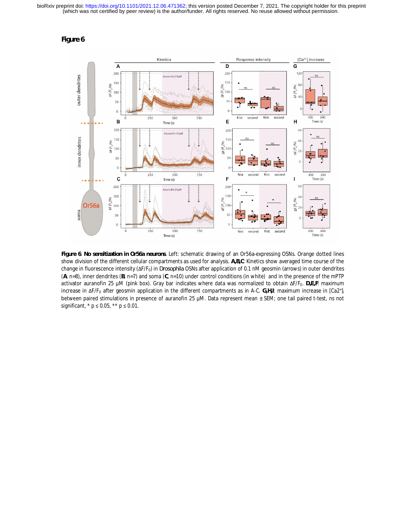

**Figure 6**. **No sensitization in Or56a neurons**. Left: schematic drawing of an Or56a-expressing OSNs. Orange dotted lines show division of the different cellular compartments as used for analysis. **A,B,C**: Kinetics show averaged time course of the change in fluorescence intensity (ΔF/F0) in *Drosophila* OSNs after application of 0.1 nM geosmin (arrows) in outer dendrites (**A**, n=8), inner dendrites (**B**, n=7) and soma (**C**, n=10) under control conditions (in white) and in the presence of the mPTP activator auranofin 25 µM (pink box). Gray bar indicates where data was normalized to obtain ΔF/F0. **D,E,F**: maximum increase in ΔF/F<sub>0</sub> after geosmin application in the different compartments as in A-C. G,H,I: maximum increase in [Ca2+]<sub>i</sub> between paired stimulations in presence of auranofin 25 µM. Data represent mean ± SEM; one tail paired t-test, ns not significant,  $* p \le 0.05$ ,  $** p \le 0.01$ .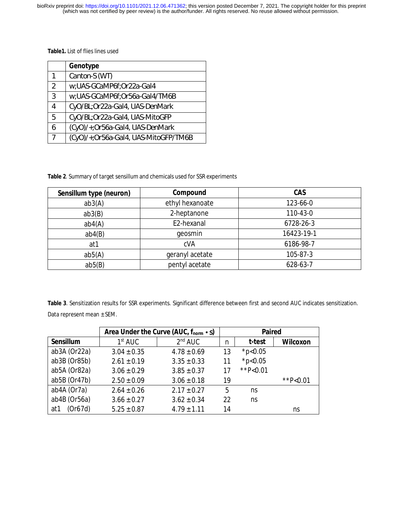**Table1.** List of flies lines used

|               | Genotype                             |
|---------------|--------------------------------------|
| 1             | Canton-S (WT)                        |
| $\mathcal{P}$ | w;UAS-GCaMP6f;Or22a-Gal4             |
| 3             | w;UAS-GCaMP6f;Or56a-Gal4/TM6B        |
|               | CyO/BL;Or22a-Gal4, UAS-DenMark       |
| 5             | CyO/BL;Or22a-Gal4, UAS-MitoGFP       |
|               | (CyO)/+;Or56a-Gal4, UAS-DenMark      |
|               | (CyO)/+;Or56a-Gal4, UAS-MitoGFP/TM6B |

**Table 2**. Summary of target sensillum and chemicals used for SSR experiments

| Sensillum type (neuron) | Compound        | CAS        |  |
|-------------------------|-----------------|------------|--|
| ab3(A)                  | ethyl hexanoate | 123-66-0   |  |
| ab3(B)                  | 2-heptanone     | 110-43-0   |  |
| ab4(A)                  | E2-hexanal      | 6728-26-3  |  |
| ab4(B)                  | geosmin         | 16423-19-1 |  |
| at1                     | cVA             | 6186-98-7  |  |
| ab5(A)                  | geranyl acetate | 105-87-3   |  |
| ab5(B)                  | pentyl acetate  | 628-63-7   |  |

**Table 3**. Sensitization results for SSR experiments. Significant difference between first and second AUC indicates sensitization. Data represent mean ± SEM.

|                 | Area Under the Curve (AUC, fnorm • s) |                     | Paired |               |             |
|-----------------|---------------------------------------|---------------------|--------|---------------|-------------|
| Sensillum       | 1 <sup>st</sup> AUC                   | 2 <sup>nd</sup> AUC | n      | t-test        | Wilcoxon    |
| ab3A (Or22a)    | $3.04 \pm 0.35$                       | $4.78 \pm 0.69$     | 13     | * $p<0.05$    |             |
| ab3B (Or85b)    | $2.61 \pm 0.19$                       | $3.35 \pm 0.33$     | 11     | $*p<0.05$     |             |
| ab5A (Or82a)    | $3.06 \pm 0.29$                       | $3.85 \pm 0.37$     | 17     | ** $P < 0.01$ |             |
| ab5B (Or47b)    | $2.50 \pm 0.09$                       | $3.06 \pm 0.18$     | 19     |               | ** $P<0.01$ |
| ab4A (Or7a)     | $2.64 \pm 0.26$                       | $2.17 \pm 0.27$     | 5      | ns            |             |
| ab4B (Or56a)    | $3.66 \pm 0.27$                       | $3.62 \pm 0.34$     | 22     | ns            |             |
| (Or67d)<br>at 1 | $5.25 \pm 0.87$                       | $4.79 \pm 1.11$     | 14     |               | ns          |